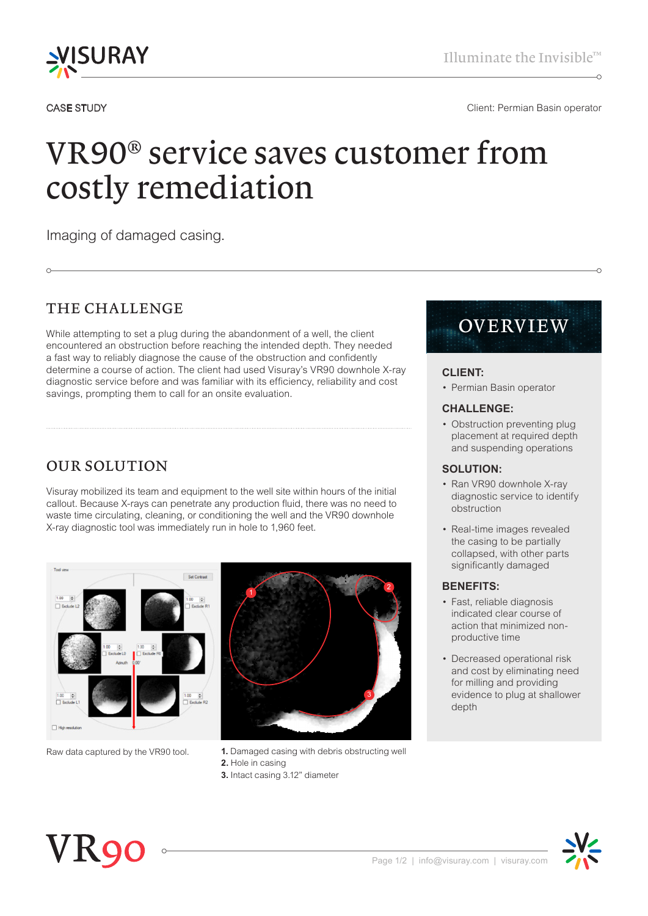

#### CASE STUDY CASE STUDY CONSERVERSION CONSERVERSE CONSERVERSION CONSERVERSION CONSERVERSION CONSERVERSION CONSERVERSION CONSERVERSION CONSERVERSION CONSERVERSION CONSERVERSION CONSERVERSION CONSERVERSION CONSERVERSION CONSER

# VR90® service saves customer from costly remediation

Imaging of damaged casing.

# THE CHALLENGE

While attempting to set a plug during the abandonment of a well, the client encountered an obstruction before reaching the intended depth. They needed a fast way to reliably diagnose the cause of the obstruction and confidently determine a course of action. The client had used Visuray's VR90 downhole X-ray diagnostic service before and was familiar with its efficiency, reliability and cost savings, prompting them to call for an onsite evaluation.

# OUR SOLUTION

Visuray mobilized its team and equipment to the well site within hours of the initial callout. Because X-rays can penetrate any production fluid, there was no need to waste time circulating, cleaning, or conditioning the well and the VR90 downhole X-ray diagnostic tool was immediately run in hole to 1,960 feet.



- Raw data captured by the VR90 tool. **1.** Damaged casing with debris obstructing well **2.** Hole in casing
	- **3.** Intact casing 3.12" diameter

# OVERVIEW

## **CLIENT:**

• Permian Basin operator

#### **CHALLENGE:**

• Obstruction preventing plug placement at required depth and suspending operations

#### **SOLUTION:**

- Ran VR90 downhole X-ray diagnostic service to identify obstruction
- Real-time images revealed the casing to be partially collapsed, with other parts significantly damaged

#### **BENEFITS:**

- Fast, reliable diagnosis indicated clear course of action that minimized nonproductive time
- Decreased operational risk and cost by eliminating need for milling and providing evidence to plug at shallower depth